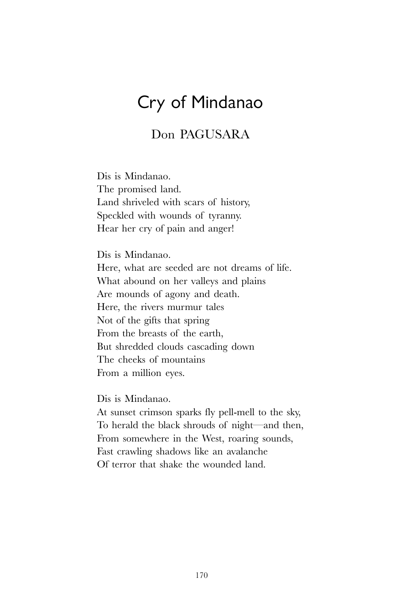## Cry of Mindanao

## Don PAGUSARA

Dis is Mindanao. The promised land. Land shriveled with scars of history, Speckled with wounds of tyranny. Hear her cry of pain and anger!

Dis is Mindanao.

Here, what are seeded are not dreams of life. What abound on her valleys and plains Are mounds of agony and death. Here, the rivers murmur tales Not of the gifts that spring From the breasts of the earth, But shredded clouds cascading down The cheeks of mountains From a million eyes.

Dis is Mindanao.

At sunset crimson sparks fly pell-mell to the sky, To herald the black shrouds of night—and then, From somewhere in the West, roaring sounds, Fast crawling shadows like an avalanche Of terror that shake the wounded land.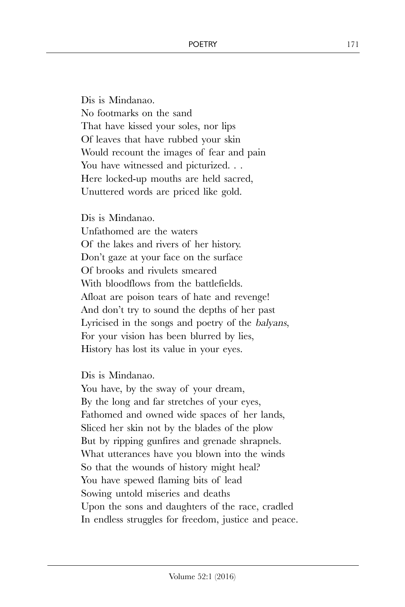Dis is Mindanao. No footmarks on the sand That have kissed your soles, nor lips Of leaves that have rubbed your skin Would recount the images of fear and pain You have witnessed and picturized. .. Here locked-up mouths are held sacred, Unuttered words are priced like gold.

Dis is Mindanao.

Unfathomed are the waters Of the lakes and rivers of her history. Don't gaze at your face on the surface Of brooks and rivulets smeared With bloodflows from the battlefields. Afloat are poison tears of hate and revenge! And don't try to sound the depths of her past Lyricised in the songs and poetry of the balyans, For your vision has been blurred by lies, History has lost its value in your eyes.

Dis is Mindanao.

You have, by the sway of your dream, By the long and far stretches of your eyes, Fathomed and owned wide spaces of her lands, Sliced her skin not by the blades of the plow But by ripping gunfires and grenade shrapnels. What utterances have you blown into the winds So that the wounds of history might heal? You have spewed flaming bits of lead Sowing untold miseries and deaths Upon the sons and daughters of the race, cradled In endless struggles for freedom, justice and peace.